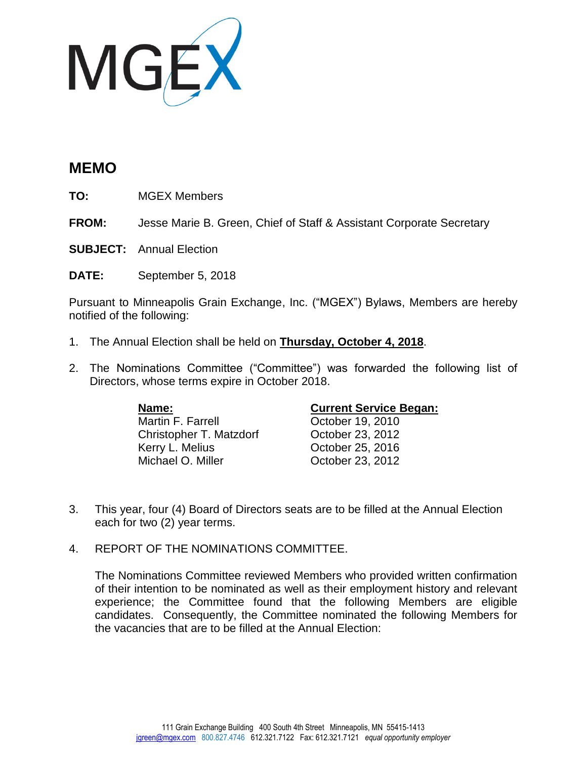

## **MEMO**

**TO:** MGEX Members

**FROM:** Jesse Marie B. Green, Chief of Staff & Assistant Corporate Secretary

**SUBJECT:** Annual Election

**DATE:** September 5, 2018

Pursuant to Minneapolis Grain Exchange, Inc. ("MGEX") Bylaws, Members are hereby notified of the following:

- 1. The Annual Election shall be held on **Thursday, October 4, 2018**.
- 2. The Nominations Committee ("Committee") was forwarded the following list of Directors, whose terms expire in October 2018.

Martin F. Farrell **Carriel Contract Contract Prior** October 19, 2010 Christopher T. Matzdorf Cortober 23, 2012<br>Kerry L. Melius Cortober 25. 2016 Michael O. Miller Cotober 23, 2012

## **Name: Current Service Began:**

October 25, 2016

- 3. This year, four (4) Board of Directors seats are to be filled at the Annual Election each for two (2) year terms.
- 4. REPORT OF THE NOMINATIONS COMMITTEE.

The Nominations Committee reviewed Members who provided written confirmation of their intention to be nominated as well as their employment history and relevant experience; the Committee found that the following Members are eligible candidates. Consequently, the Committee nominated the following Members for the vacancies that are to be filled at the Annual Election: